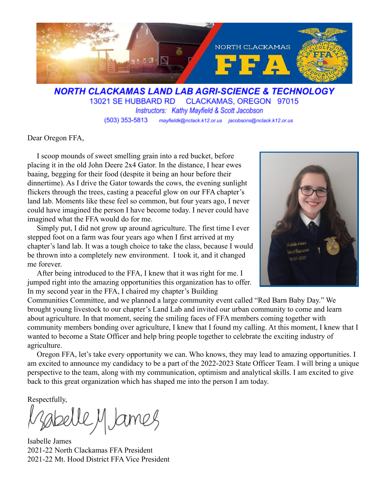

**NORTH CLACKAMAS LAND LAB AGRI-SCIENCE & TECHNOLOGY** 13021 SE HUBBARD RD CLACKAMAS, OREGON 97015 Instructors: Kathy Mayfield & Scott Jacobson mayfieldk@nclack.k12.or.us jacobsons@nclack.k12.or.us  $(503)$  353-5813

Dear Oregon FFA,

I scoop mounds of sweet smelling grain into a red bucket, before placing it in the old John Deere 2x4 Gator. In the distance, I hear ewes baaing, begging for their food (despite it being an hour before their dinnertime). As I drive the Gator towards the cows, the evening sunlight flickers through the trees, casting a peaceful glow on our FFA chapter's land lab. Moments like these feel so common, but four years ago, I never could have imagined the person I have become today. I never could have imagined what the FFA would do for me.

Simply put, I did not grow up around agriculture. The first time I ever stepped foot on a farm was four years ago when I first arrived at my chapter's land lab. It was a tough choice to take the class, because I would be thrown into a completely new environment. I took it, and it changed me forever.

After being introduced to the FFA, I knew that it was right for me. I jumped right into the amazing opportunities this organization has to offer. In my second year in the FFA, I chaired my chapter's Building



Communities Committee, and we planned a large community event called "Red Barn Baby Day." We brought young livestock to our chapter's Land Lab and invited our urban community to come and learn about agriculture. In that moment, seeing the smiling faces of FFA members coming together with community members bonding over agriculture, I knew that I found my calling. At this moment, I knew that I wanted to become a State Officer and help bring people together to celebrate the exciting industry of agriculture.

Oregon FFA, let's take every opportunity we can. Who knows, they may lead to amazing opportunities. I am excited to announce my candidacy to be a part of the 2022-2023 State Officer Team. I will bring a unique perspective to the team, along with my communication, optimism and analytical skills. I am excited to give back to this great organization which has shaped me into the person I am today.

Respectfully,

Sabelle M James

Isabelle James 2021-22 North Clackamas FFA President 2021-22 Mt. Hood District FFA Vice President